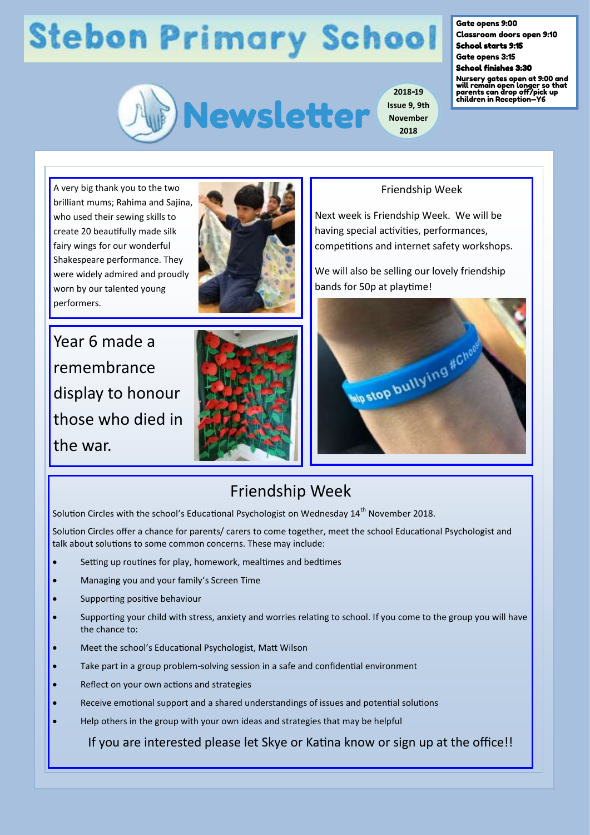## **Stebon Primary School**



**2018-19 Issue 9, 9th November 2018**

Gate opens 9:00

Classroom doors open 9:10 School starts 9:15

Gate opens 3:15 School finishes 3:30

Nursery gates open at 9:00 and will remain open longer so that parents can drop off/pick up children in Reception—Y6

A very big thank you to the two brilliant mums; Rahima and Sajina, who used their sewing skills to create 20 beautifully made silk fairy wings for our wonderful Shakespeare performance. They were widely admired and proudly worn by our talented young performers.





Year 6 made a remembrance display to honour those who died in the war.



#### Friendship Week

Next week is Friendship Week. We will be having special activities, performances, competitions and internet safety workshops.

We will also be selling our lovely friendship bands for 50p at playtime!



#### Friendship Week

Solution Circles with the school's Educational Psychologist on Wednesday  $14<sup>th</sup>$  November 2018.

Solution Circles offer a chance for parents/ carers to come together, meet the school Educational Psychologist and talk about solutions to some common concerns. These may include:

- Setting up routines for play, homework, mealtimes and bedtimes
- Managing you and your family's Screen Time
- Supporting positive behaviour
- Supporting your child with stress, anxiety and worries relating to school. If you come to the group you will have the chance to:
- Meet the school's Educational Psychologist, Matt Wilson
- Take part in a group problem-solving session in a safe and confidential environment
- Reflect on your own actions and strategies
- Receive emotional support and a shared understandings of issues and potential solutions
- Help others in the group with your own ideas and strategies that may be helpful

If you are interested please let Skye or Katina know or sign up at the office!!